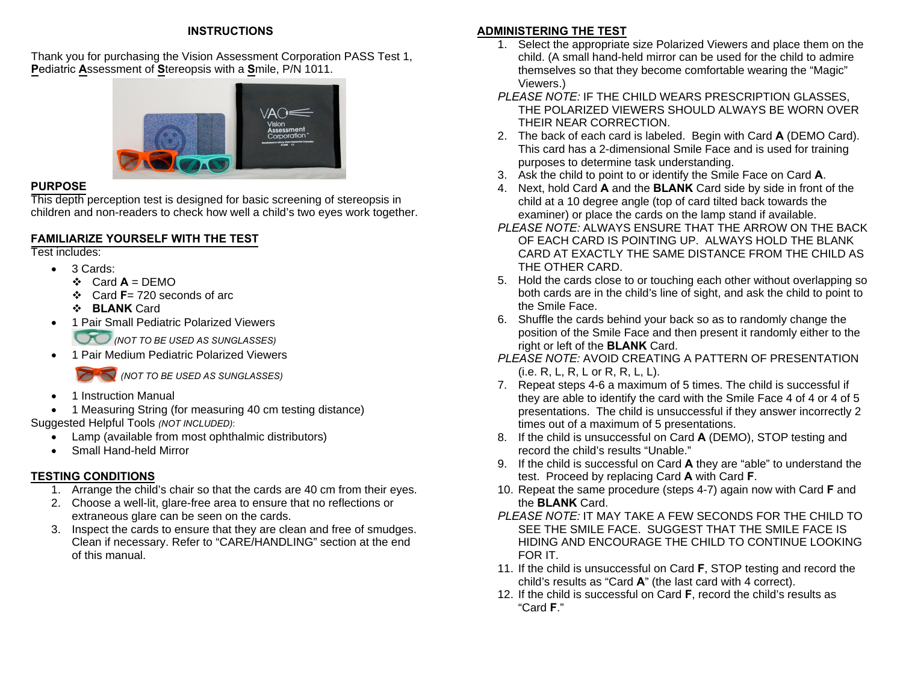#### **INSTRUCTIONS**

Thank you for purchasing the Vision Assessment Corporation PASS Test 1, **P**ediatric **A**ssessment of**S**tereopsis with a**S**mile, P/N 1011.



#### **PURPOSE**

 This depth perception test is designed for basic screening of stereopsis inchildren and non-readers to check how well a child's two eyes work together.

#### **FAMILIARIZE YOURSELF WITH THE TEST**

Test includes:

- 3 Cards:
	- $\div$  Card  $A = DEMO$
	- Card **F**= 720 seconds of arc
	- **BLANK** Card
- $\bullet$ 1 Pair Small Pediatric Polarized Viewers

*(NOT TO BE USED AS SUNGLASSES)* 

c 1 Pair Medium Pediatric Polarized Viewers

*(NOT TO BE USED AS SUNGLASSES)* 

- c 1 Instruction Manual
- c 1 Measuring String (for measuring 40 cm testing distance) Suggested Helpful Tools *(NOT INCLUDED)*:
	- Lamp (available from most ophthalmic distributors)
	- $\bullet$ Small Hand-held Mirror

#### **TESTING CONDITIONS**

- 1. Arrange the child's chair so that the cards are 40 cm from their eyes.
- 2. Choose a well-lit, glare-free area to ensure that no reflections or extraneous glare can be seen on the cards.
- 3. Inspect the cards to ensure that they are clean and free of smudges. Clean if necessary. Refer to "CARE/HANDLING" section at the end of this manual.

### **ADMINISTERING THE TEST**

- 1. Select the appropriate size Polarized Viewers and place them on the child. (A small hand-held mirror can be used for the child to admire themselves so that they become comfortable wearing the "Magic" Viewers.)
- *PLEASE NOTE:* IF THE CHILD WEARS PRESCRIPTION GLASSES, THE POLARIZED VIEWERS SHOULD ALWAYS BE WORN OVER THEIR NEAR CORRECTION.
- 2. The back of each card is labeled. Begin with Card **A** (DEMO Card). This card has a 2-dimensional Smile Face and is used for training purposes to determine task understanding.
- 3. Ask the child to point to or identify the Smile Face on Card **A**.
- 4. Next, hold Card **A** and the **BLANK** Card side by side in front of the child at a 10 degree angle (top of card tilted back towards the examiner) or place the cards on the lamp stand if available.
- *PLEASE NOTE:* ALWAYS ENSURE THAT THE ARROW ON THE BACK OF EACH CARD IS POINTING UP. ALWAYS HOLD THE BLANK CARD AT EXACTLY THE SAME DISTANCE FROM THE CHILD AS THE OTHER CARD.
- 5. Hold the cards close to or touching each other without overlapping so both cards are in the child's line of sight, and ask the child to point to the Smile Face.
- 6. Shuffle the cards behind your back so as to randomly change the position of the Smile Face and then present it randomly either to the right or left of the **BLANK** Card.
- *PLEASE NOTE:* AVOID CREATING A PATTERN OF PRESENTATION (i.e. R, L, R, L or R, R, L, L).
- 7. Repeat steps 4-6 a maximum of 5 times. The child is successful if they are able to identify the card with the Smile Face 4 of 4 or 4 of 5 presentations. The child is unsuccessful if they answer incorrectly 2 times out of a maximum of 5 presentations.
- 8. If the child is unsuccessful on Card **A** (DEMO), STOP testing and record the child's results "Unable."
- 9. If the child is successful on Card **A** they are "able" to understand the test. Proceed by replacing Card **A** with Card **F**.
- 10. Repeat the same procedure (steps 4-7) again now with Card **F** an d the **BLANK** Card.
- *PLEASE NOTE:* IT MAY TAKE A FEW SECONDS FOR THE CHILD TO SEE THE SMILE FACE. SUGGEST THAT THE SMILE FACE IS HIDING AND ENCOURAGE THE CHILD TO CONTINUE LOOKING FOR IT.
- 11. If the child is unsuccessful on Card **F**, STOP testing and record the child's results as "Card **A**" (the last card with 4 correct).
- 12. If the child is successful on Card **F**, record the child's results as "Card **F**."